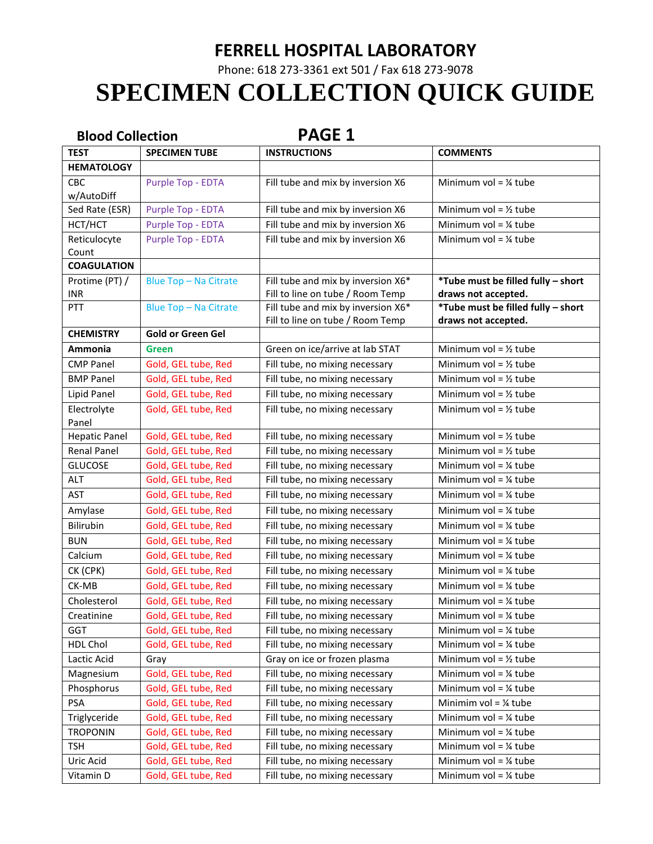### **FERRELL HOSPITAL LABORATORY**

Phone: 618 273-3361 ext 501 / Fax 618 273-9078

# **SPECIMEN COLLECTION QUICK GUIDE**

| <b>PAGE 1</b><br><b>Blood Collection</b> |                              |                                                                        |                                    |
|------------------------------------------|------------------------------|------------------------------------------------------------------------|------------------------------------|
| <b>TEST</b>                              | <b>SPECIMEN TUBE</b>         | <b>INSTRUCTIONS</b>                                                    | <b>COMMENTS</b>                    |
| <b>HEMATOLOGY</b>                        |                              |                                                                        |                                    |
| <b>CBC</b>                               | Purple Top - EDTA            | Fill tube and mix by inversion X6                                      | Minimum vol = $\frac{1}{4}$ tube   |
| w/AutoDiff                               |                              |                                                                        |                                    |
| Sed Rate (ESR)                           | Purple Top - EDTA            | Fill tube and mix by inversion X6                                      | Minimum vol = $\frac{1}{2}$ tube   |
| HCT/HCT                                  | Purple Top - EDTA            | Fill tube and mix by inversion X6                                      | Minimum vol = $\frac{1}{4}$ tube   |
| Reticulocyte                             | <b>Purple Top - EDTA</b>     | Fill tube and mix by inversion X6                                      | Minimum vol = $\frac{1}{4}$ tube   |
| Count                                    |                              |                                                                        |                                    |
| <b>COAGULATION</b>                       |                              |                                                                        |                                    |
| Protime (PT) /                           | Blue Top - Na Citrate        | Fill tube and mix by inversion X6*                                     | *Tube must be filled fully - short |
| <b>INR</b>                               |                              | Fill to line on tube / Room Temp                                       | draws not accepted.                |
| PTT                                      | <b>Blue Top - Na Citrate</b> | Fill tube and mix by inversion X6*<br>Fill to line on tube / Room Temp | *Tube must be filled fully - short |
| <b>CHEMISTRY</b>                         | <b>Gold or Green Gel</b>     |                                                                        | draws not accepted.                |
| Ammonia                                  | Green                        | Green on ice/arrive at lab STAT                                        | Minimum vol = $\frac{1}{2}$ tube   |
| <b>CMP Panel</b>                         | Gold, GEL tube, Red          | Fill tube, no mixing necessary                                         | Minimum vol = $\frac{1}{2}$ tube   |
| <b>BMP Panel</b>                         | Gold, GEL tube, Red          | Fill tube, no mixing necessary                                         | Minimum vol = $\frac{1}{2}$ tube   |
| Lipid Panel                              | Gold, GEL tube, Red          | Fill tube, no mixing necessary                                         | Minimum vol = $\frac{1}{2}$ tube   |
|                                          |                              |                                                                        | Minimum vol = $\frac{1}{2}$ tube   |
| Electrolyte<br>Panel                     | Gold, GEL tube, Red          | Fill tube, no mixing necessary                                         |                                    |
| <b>Hepatic Panel</b>                     | Gold, GEL tube, Red          | Fill tube, no mixing necessary                                         | Minimum vol = $\frac{1}{2}$ tube   |
| <b>Renal Panel</b>                       | Gold, GEL tube, Red          | Fill tube, no mixing necessary                                         | Minimum vol = $\frac{1}{2}$ tube   |
| <b>GLUCOSE</b>                           | Gold, GEL tube, Red          | Fill tube, no mixing necessary                                         | Minimum vol = $\frac{1}{4}$ tube   |
| <b>ALT</b>                               | Gold, GEL tube, Red          | Fill tube, no mixing necessary                                         | Minimum vol = $\frac{1}{4}$ tube   |
| <b>AST</b>                               | Gold, GEL tube, Red          | Fill tube, no mixing necessary                                         | Minimum vol = $\frac{1}{4}$ tube   |
| Amylase                                  | Gold, GEL tube, Red          | Fill tube, no mixing necessary                                         | Minimum vol = $\frac{1}{4}$ tube   |
| Bilirubin                                | Gold, GEL tube, Red          | Fill tube, no mixing necessary                                         | Minimum vol = $\frac{1}{4}$ tube   |
| <b>BUN</b>                               | Gold, GEL tube, Red          | Fill tube, no mixing necessary                                         | Minimum vol = $\frac{1}{4}$ tube   |
| Calcium                                  | Gold, GEL tube, Red          | Fill tube, no mixing necessary                                         | Minimum vol = $\frac{1}{4}$ tube   |
| CK (CPK)                                 | Gold, GEL tube, Red          | Fill tube, no mixing necessary                                         | Minimum vol = $\frac{1}{4}$ tube   |
| CK-MB                                    | Gold, GEL tube, Red          | Fill tube, no mixing necessary                                         | Minimum vol = $\frac{1}{4}$ tube   |
| Cholesterol                              | Gold, GEL tube, Red          | Fill tube, no mixing necessary                                         | Minimum vol = $\frac{1}{4}$ tube   |
| Creatinine                               | Gold, GEL tube, Red          | Fill tube, no mixing necessary                                         | Minimum vol = $\frac{1}{4}$ tube   |
| <b>GGT</b>                               | Gold, GEL tube, Red          | Fill tube, no mixing necessary                                         | Minimum vol = $\frac{1}{4}$ tube   |
| HDL Chol                                 | Gold, GEL tube, Red          | Fill tube, no mixing necessary                                         | Minimum vol = $\frac{1}{4}$ tube   |
| Lactic Acid                              | Gray                         | Gray on ice or frozen plasma                                           | Minimum vol = $\frac{1}{2}$ tube   |
| Magnesium                                | Gold, GEL tube, Red          | Fill tube, no mixing necessary                                         | Minimum vol = $\frac{1}{4}$ tube   |
| Phosphorus                               | Gold, GEL tube, Red          | Fill tube, no mixing necessary                                         | Minimum vol = $\frac{1}{4}$ tube   |
| <b>PSA</b>                               | Gold, GEL tube, Red          | Fill tube, no mixing necessary                                         | Minimim vol = $\frac{1}{4}$ tube   |
| Triglyceride                             | Gold, GEL tube, Red          | Fill tube, no mixing necessary                                         | Minimum vol = $\frac{1}{4}$ tube   |
| <b>TROPONIN</b>                          | Gold, GEL tube, Red          | Fill tube, no mixing necessary                                         | Minimum vol = $\frac{1}{4}$ tube   |
| <b>TSH</b>                               | Gold, GEL tube, Red          | Fill tube, no mixing necessary                                         | Minimum vol = $\frac{1}{4}$ tube   |
| Uric Acid                                | Gold, GEL tube, Red          | Fill tube, no mixing necessary                                         | Minimum vol = $\frac{1}{4}$ tube   |
| Vitamin D                                | Gold, GEL tube, Red          | Fill tube, no mixing necessary                                         | Minimum vol = $\frac{1}{4}$ tube   |